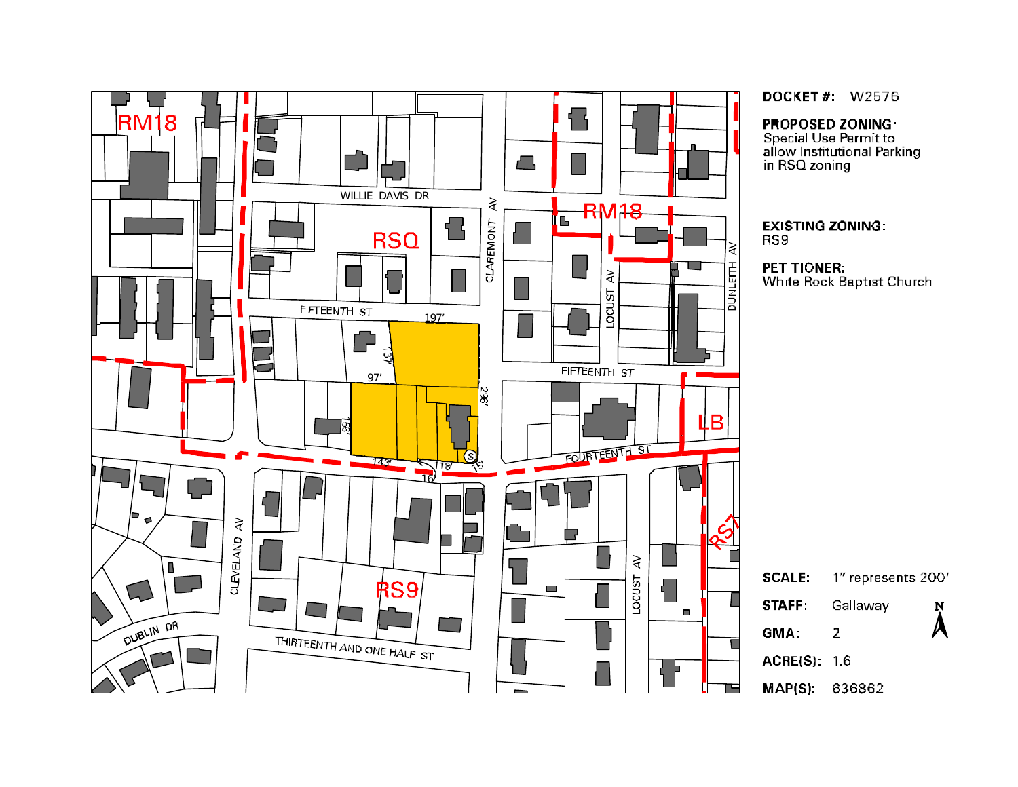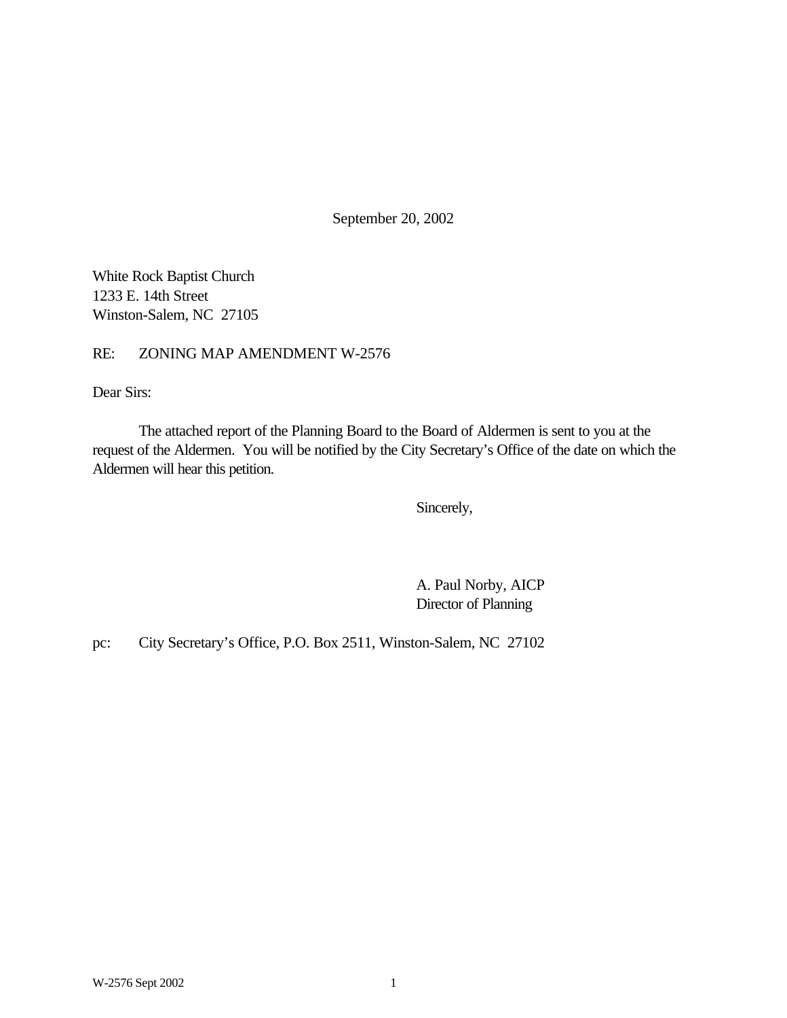September 20, 2002

White Rock Baptist Church 1233 E. 14th Street Winston-Salem, NC 27105

RE: ZONING MAP AMENDMENT W-2576

Dear Sirs:

The attached report of the Planning Board to the Board of Aldermen is sent to you at the request of the Aldermen. You will be notified by the City Secretary's Office of the date on which the Aldermen will hear this petition.

Sincerely,

A. Paul Norby, AICP Director of Planning

pc: City Secretary's Office, P.O. Box 2511, Winston-Salem, NC 27102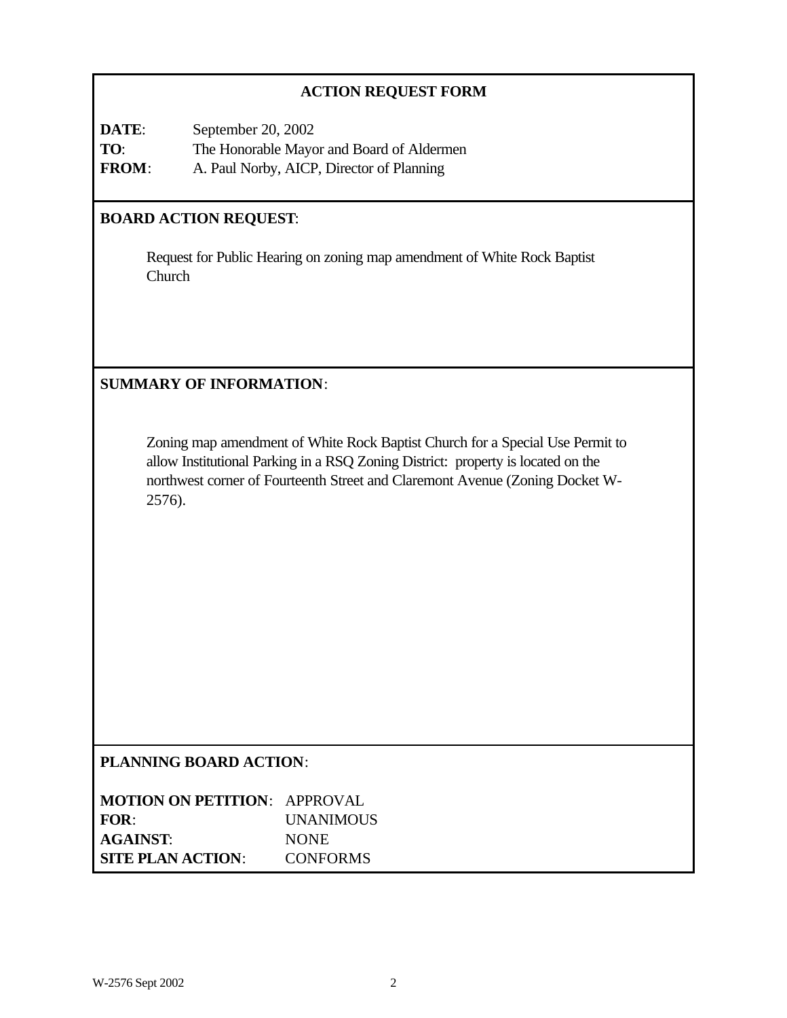## **ACTION REQUEST FORM**

**DATE**: September 20, 2002 **TO**: The Honorable Mayor and Board of Aldermen **FROM**: A. Paul Norby, AICP, Director of Planning

### **BOARD ACTION REQUEST**:

Request for Public Hearing on zoning map amendment of White Rock Baptist Church

## **SUMMARY OF INFORMATION**:

Zoning map amendment of White Rock Baptist Church for a Special Use Permit to allow Institutional Parking in a RSQ Zoning District: property is located on the northwest corner of Fourteenth Street and Claremont Avenue (Zoning Docket W-2576).

## **PLANNING BOARD ACTION**:

| <b>MOTION ON PETITION: APPROVAL</b> |                  |
|-------------------------------------|------------------|
| FOR:                                | <b>UNANIMOUS</b> |
| <b>AGAINST:</b>                     | <b>NONE</b>      |
| <b>SITE PLAN ACTION:</b>            | <b>CONFORMS</b>  |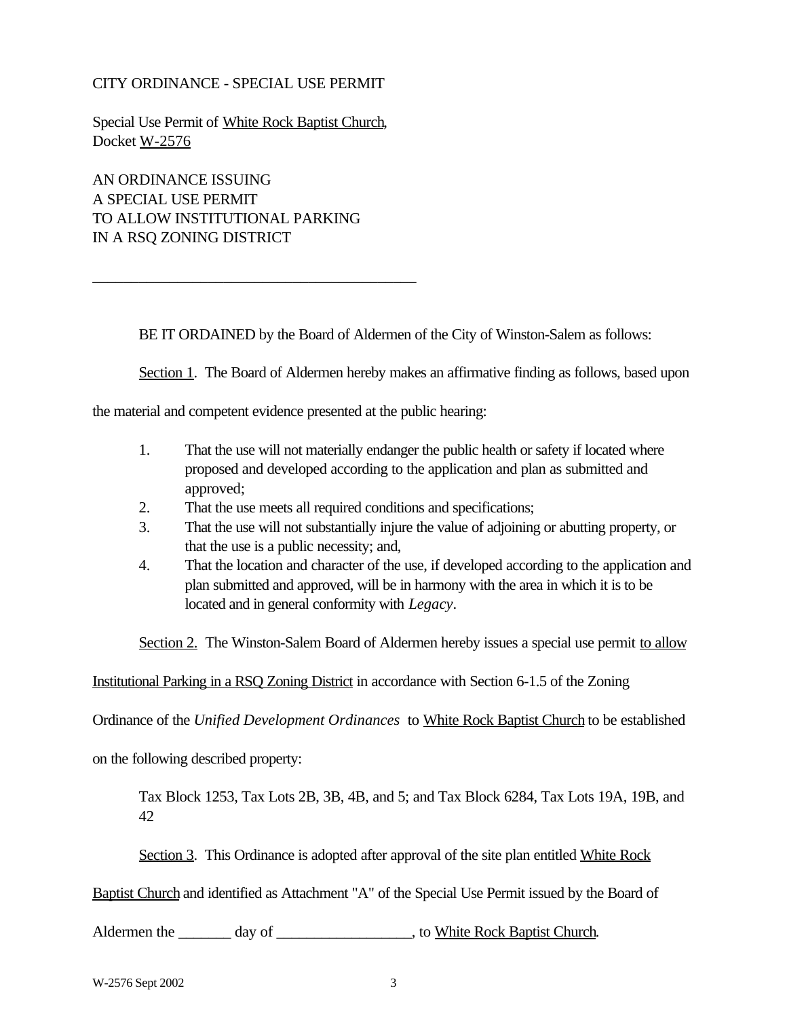#### CITY ORDINANCE - SPECIAL USE PERMIT

Special Use Permit of White Rock Baptist Church, Docket W-2576

AN ORDINANCE ISSUING A SPECIAL USE PERMIT TO ALLOW INSTITUTIONAL PARKING IN A RSQ ZONING DISTRICT

\_\_\_\_\_\_\_\_\_\_\_\_\_\_\_\_\_\_\_\_\_\_\_\_\_\_\_\_\_\_\_\_\_\_\_\_\_\_\_\_\_\_

BE IT ORDAINED by the Board of Aldermen of the City of Winston-Salem as follows:

Section 1. The Board of Aldermen hereby makes an affirmative finding as follows, based upon

the material and competent evidence presented at the public hearing:

- 1. That the use will not materially endanger the public health or safety if located where proposed and developed according to the application and plan as submitted and approved;
- 2. That the use meets all required conditions and specifications;
- 3. That the use will not substantially injure the value of adjoining or abutting property, or that the use is a public necessity; and,
- 4. That the location and character of the use, if developed according to the application and plan submitted and approved, will be in harmony with the area in which it is to be located and in general conformity with *Legacy*.

Section 2. The Winston-Salem Board of Aldermen hereby issues a special use permit to allow

Institutional Parking in a RSQ Zoning District in accordance with Section 6-1.5 of the Zoning

Ordinance of the *Unified Development Ordinances* to White Rock Baptist Church to be established

on the following described property:

Tax Block 1253, Tax Lots 2B, 3B, 4B, and 5; and Tax Block 6284, Tax Lots 19A, 19B, and 42

Section 3. This Ordinance is adopted after approval of the site plan entitled White Rock

Baptist Church and identified as Attachment "A" of the Special Use Permit issued by the Board of

Aldermen the day of the state of the Rock Baptist Church.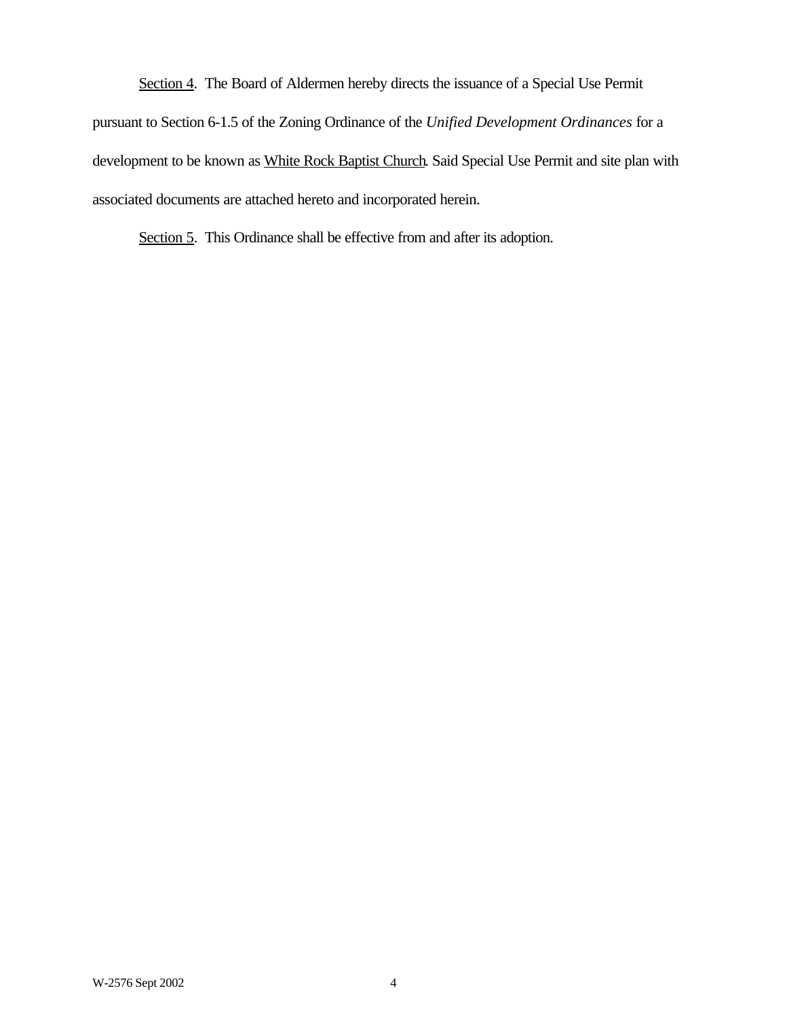Section 4. The Board of Aldermen hereby directs the issuance of a Special Use Permit pursuant to Section 6-1.5 of the Zoning Ordinance of the *Unified Development Ordinances* for a development to be known as White Rock Baptist Church. Said Special Use Permit and site plan with associated documents are attached hereto and incorporated herein.

Section 5. This Ordinance shall be effective from and after its adoption.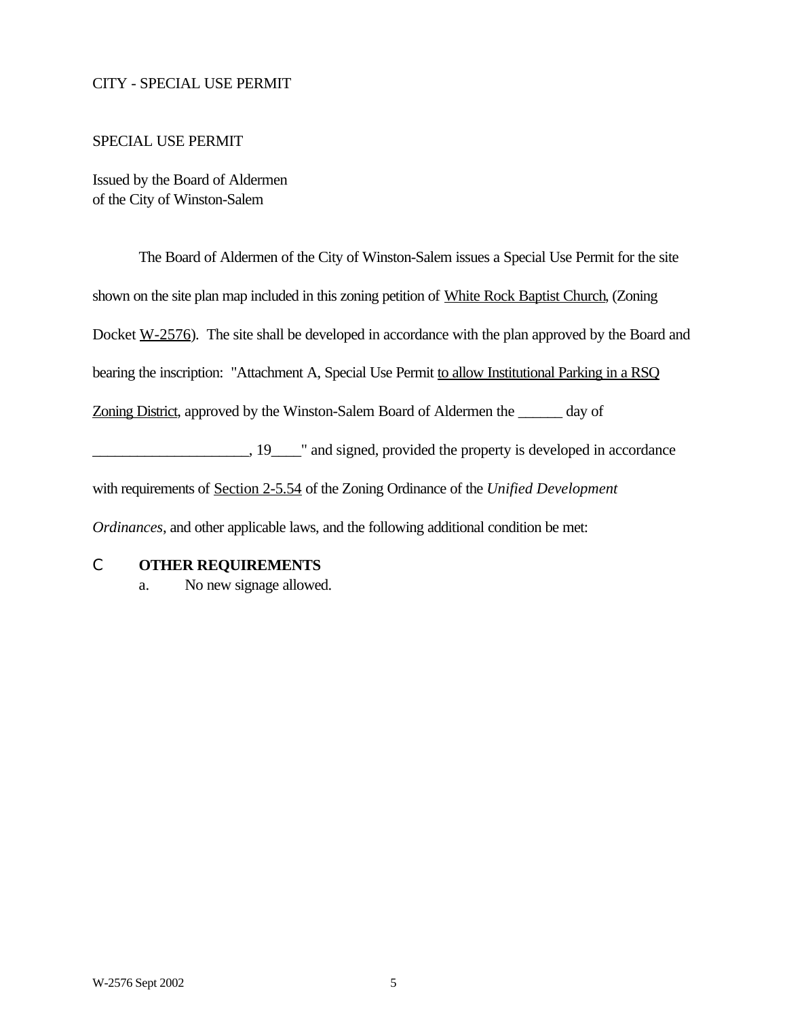#### CITY - SPECIAL USE PERMIT

#### SPECIAL USE PERMIT

Issued by the Board of Aldermen of the City of Winston-Salem

The Board of Aldermen of the City of Winston-Salem issues a Special Use Permit for the site shown on the site plan map included in this zoning petition of White Rock Baptist Church, (Zoning Docket W-2576). The site shall be developed in accordance with the plan approved by the Board and bearing the inscription: "Attachment A, Special Use Permit to allow Institutional Parking in a RSQ Zoning District, approved by the Winston-Salem Board of Aldermen the \_\_\_\_\_\_ day of  $\Box$ , 19  $\Box$  and signed, provided the property is developed in accordance with requirements of Section 2-5.54 of the Zoning Ordinance of the *Unified Development Ordinances*, and other applicable laws, and the following additional condition be met:

#### C **OTHER REQUIREMENTS**

a. No new signage allowed.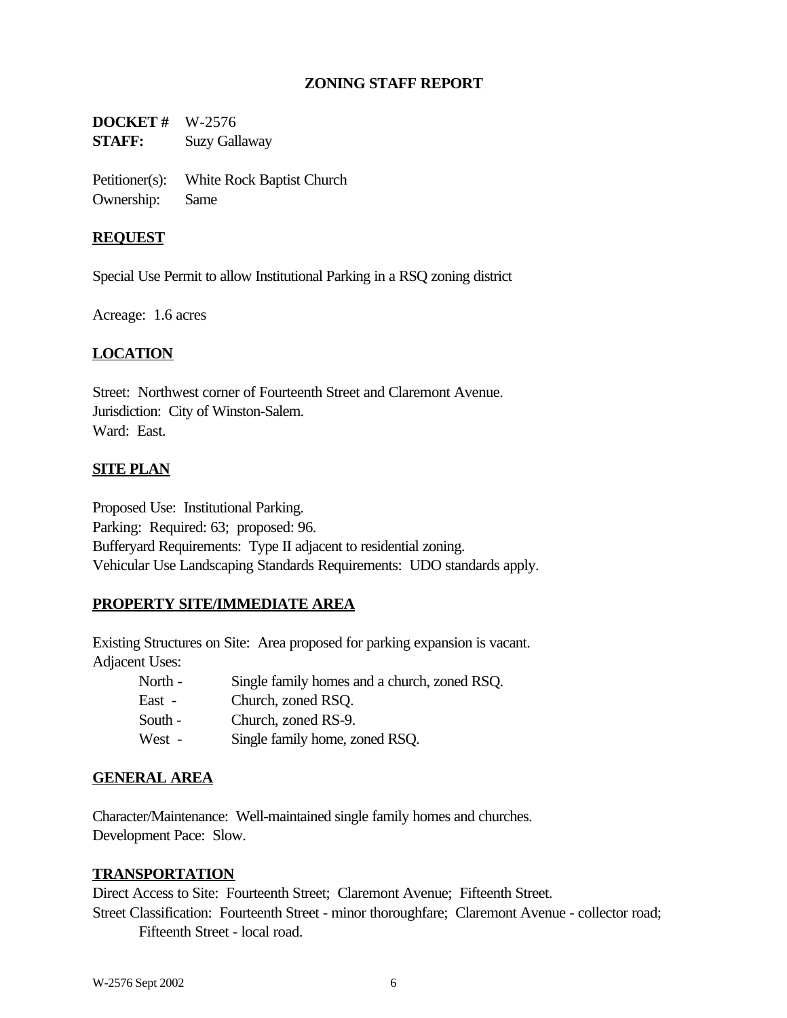### **ZONING STAFF REPORT**

**DOCKET #** W-2576 **STAFF:** Suzy Gallaway

Petitioner(s): White Rock Baptist Church Ownership: Same

#### **REQUEST**

Special Use Permit to allow Institutional Parking in a RSQ zoning district

Acreage: 1.6 acres

### **LOCATION**

Street: Northwest corner of Fourteenth Street and Claremont Avenue. Jurisdiction: City of Winston-Salem. Ward: East.

#### **SITE PLAN**

Proposed Use: Institutional Parking. Parking: Required: 63; proposed: 96. Bufferyard Requirements: Type II adjacent to residential zoning. Vehicular Use Landscaping Standards Requirements: UDO standards apply.

#### **PROPERTY SITE/IMMEDIATE AREA**

Existing Structures on Site: Area proposed for parking expansion is vacant. Adjacent Uses:

| North - | Single family homes and a church, zoned RSQ. |
|---------|----------------------------------------------|
| East -  | Church, zoned RSQ.                           |
| South - | Church, zoned RS-9.                          |
| West -  | Single family home, zoned RSQ.               |

#### **GENERAL AREA**

Character/Maintenance: Well-maintained single family homes and churches. Development Pace: Slow.

#### **TRANSPORTATION**

Direct Access to Site: Fourteenth Street; Claremont Avenue; Fifteenth Street. Street Classification: Fourteenth Street - minor thoroughfare; Claremont Avenue - collector road; Fifteenth Street - local road.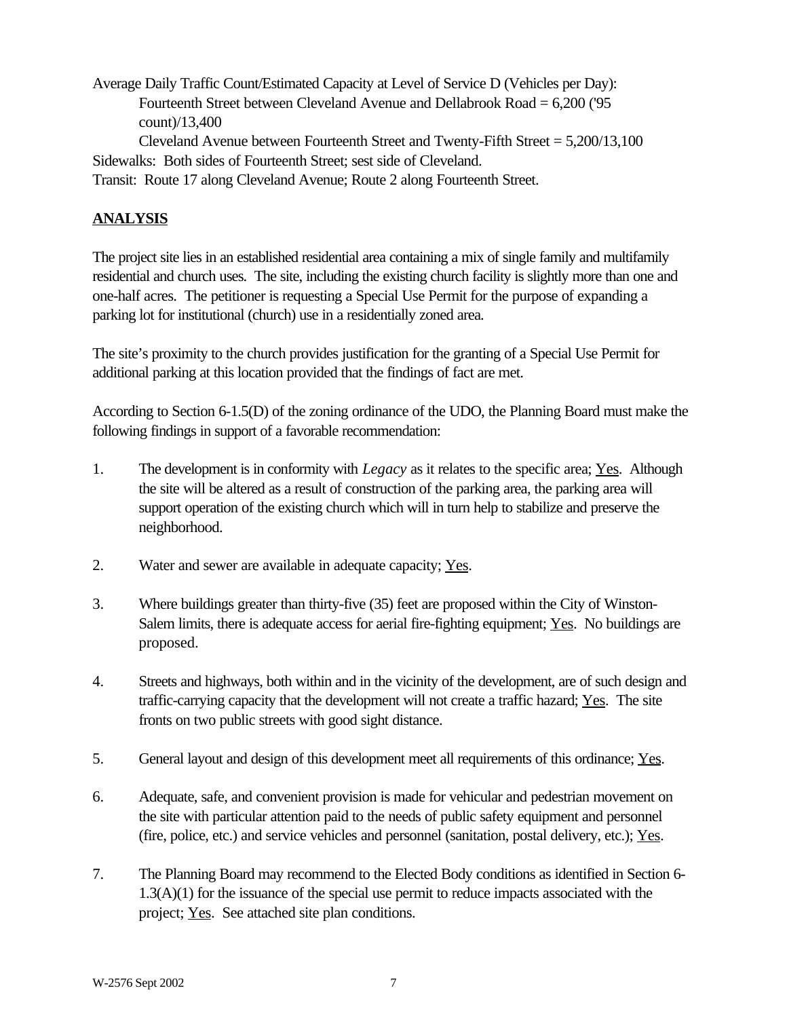Average Daily Traffic Count/Estimated Capacity at Level of Service D (Vehicles per Day): Fourteenth Street between Cleveland Avenue and Dellabrook Road = 6,200 ('95 count)/13,400 Cleveland Avenue between Fourteenth Street and Twenty-Fifth Street = 5,200/13,100

Sidewalks: Both sides of Fourteenth Street; sest side of Cleveland.

Transit: Route 17 along Cleveland Avenue; Route 2 along Fourteenth Street.

# **ANALYSIS**

The project site lies in an established residential area containing a mix of single family and multifamily residential and church uses. The site, including the existing church facility is slightly more than one and one-half acres. The petitioner is requesting a Special Use Permit for the purpose of expanding a parking lot for institutional (church) use in a residentially zoned area.

The site's proximity to the church provides justification for the granting of a Special Use Permit for additional parking at this location provided that the findings of fact are met.

According to Section 6-1.5(D) of the zoning ordinance of the UDO, the Planning Board must make the following findings in support of a favorable recommendation:

- 1. The development is in conformity with *Legacy* as it relates to the specific area; Yes. Although the site will be altered as a result of construction of the parking area, the parking area will support operation of the existing church which will in turn help to stabilize and preserve the neighborhood.
- 2. Water and sewer are available in adequate capacity; Yes.
- 3. Where buildings greater than thirty-five (35) feet are proposed within the City of Winston-Salem limits, there is adequate access for aerial fire-fighting equipment; Yes. No buildings are proposed.
- 4. Streets and highways, both within and in the vicinity of the development, are of such design and traffic-carrying capacity that the development will not create a traffic hazard; Yes. The site fronts on two public streets with good sight distance.
- 5. General layout and design of this development meet all requirements of this ordinance; Yes.
- 6. Adequate, safe, and convenient provision is made for vehicular and pedestrian movement on the site with particular attention paid to the needs of public safety equipment and personnel (fire, police, etc.) and service vehicles and personnel (sanitation, postal delivery, etc.);  $Yes$ .</u>
- 7. The Planning Board may recommend to the Elected Body conditions as identified in Section 6- 1.3(A)(1) for the issuance of the special use permit to reduce impacts associated with the project; Yes. See attached site plan conditions.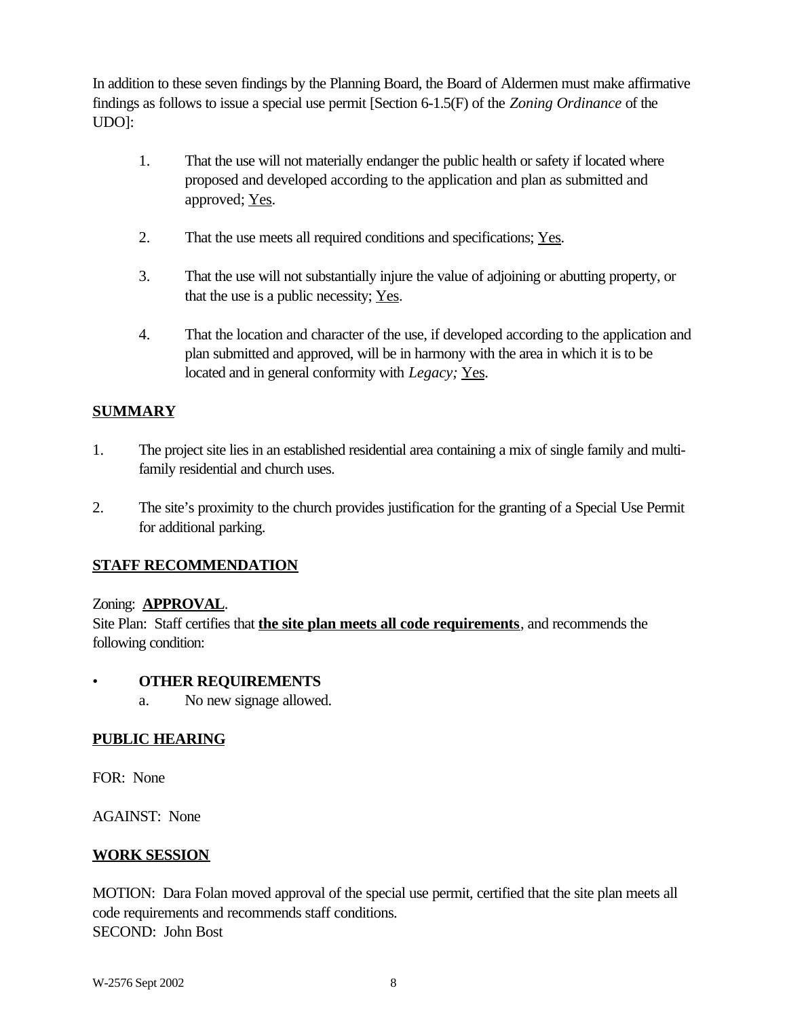In addition to these seven findings by the Planning Board, the Board of Aldermen must make affirmative findings as follows to issue a special use permit [Section 6-1.5(F) of the *Zoning Ordinance* of the UDO]:

- 1. That the use will not materially endanger the public health or safety if located where proposed and developed according to the application and plan as submitted and approved; Yes.
- 2. That the use meets all required conditions and specifications; Yes.
- 3. That the use will not substantially injure the value of adjoining or abutting property, or that the use is a public necessity;  $Yes$ .</u>
- 4. That the location and character of the use, if developed according to the application and plan submitted and approved, will be in harmony with the area in which it is to be located and in general conformity with *Legacy*; <u>Yes</u>.

# **SUMMARY**

- 1. The project site lies in an established residential area containing a mix of single family and multifamily residential and church uses.
- 2. The site's proximity to the church provides justification for the granting of a Special Use Permit for additional parking.

# **STAFF RECOMMENDATION**

## Zoning: **APPROVAL**.

Site Plan: Staff certifies that **the site plan meets all code requirements**, and recommends the following condition:

#### • **OTHER REQUIREMENTS**

a. No new signage allowed.

## **PUBLIC HEARING**

FOR: None

AGAINST: None

## **WORK SESSION**

MOTION: Dara Folan moved approval of the special use permit, certified that the site plan meets all code requirements and recommends staff conditions. SECOND: John Bost